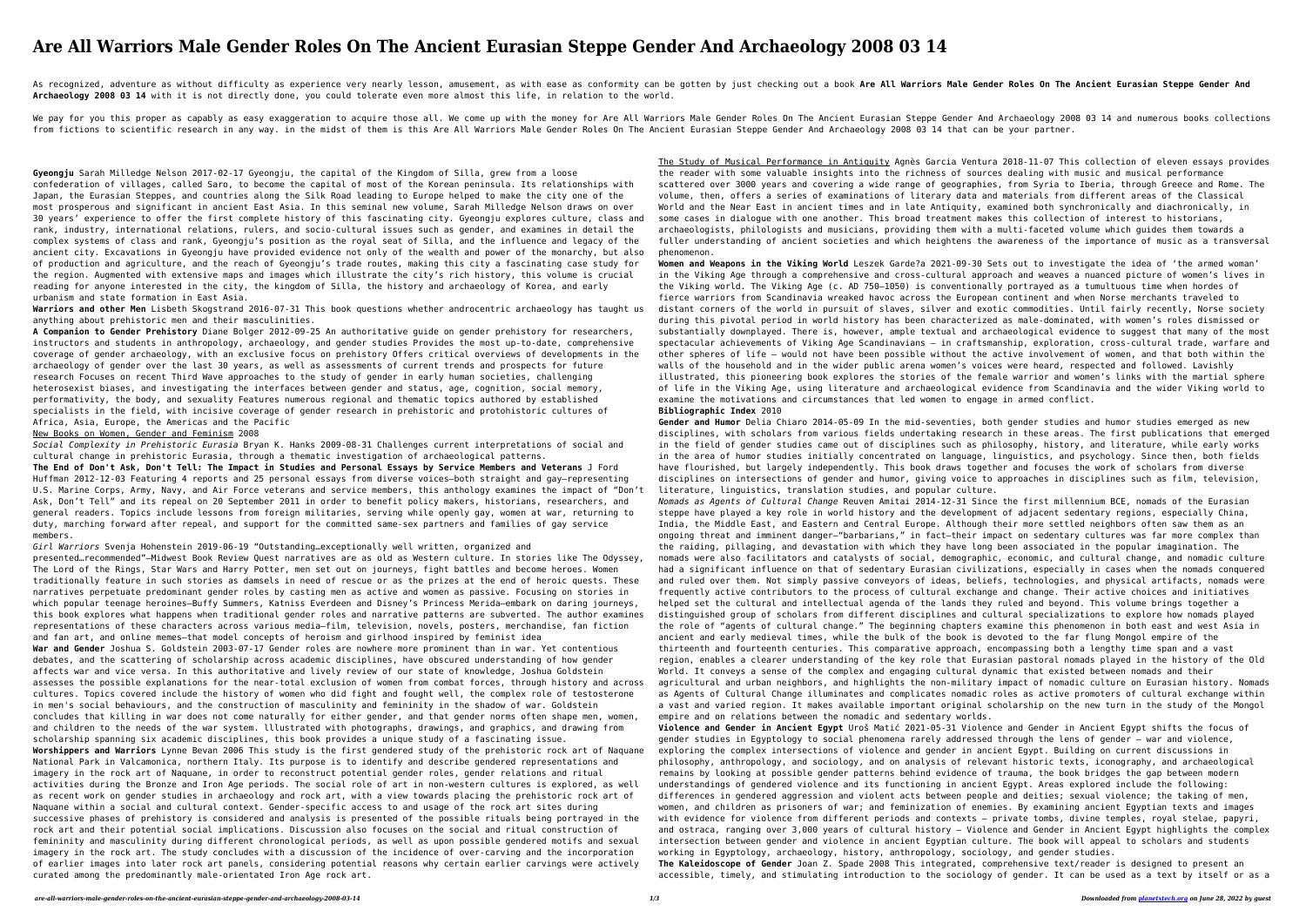## **Are All Warriors Male Gender Roles On The Ancient Eurasian Steppe Gender And Archaeology 2008 03 14**

As recognized, adventure as without difficulty as experience very nearly lesson, amusement, as with ease as conformity can be gotten by just checking out a book Are All Warriors Male Gender Roles On The Ancient Eurasian St **Archaeology 2008 03 14** with it is not directly done, you could tolerate even more almost this life, in relation to the world.

We pay for you this proper as capably as easy exaggeration to acquire those all. We come up with the money for Are All Warriors Male Gender Roles On The Ancient Eurasian Steppe Gender And Archaeology 2008 03 14 and numerou from fictions to scientific research in any way. in the midst of them is this Are All Warriors Male Gender Roles On The Ancient Eurasian Steppe Gender And Archaeology 2008 03 14 that can be your partner.

**Gyeongju** Sarah Milledge Nelson 2017-02-17 Gyeongju, the capital of the Kingdom of Silla, grew from a loose confederation of villages, called Saro, to become the capital of most of the Korean peninsula. Its relationships with Japan, the Eurasian Steppes, and countries along the Silk Road leading to Europe helped to make the city one of the most prosperous and significant in ancient East Asia. In this seminal new volume, Sarah Milledge Nelson draws on over 30 years' experience to offer the first complete history of this fascinating city. Gyeongju explores culture, class and rank, industry, international relations, rulers, and socio-cultural issues such as gender, and examines in detail the complex systems of class and rank, Gyeongju's position as the royal seat of Silla, and the influence and legacy of the ancient city. Excavations in Gyeongju have provided evidence not only of the wealth and power of the monarchy, but also of production and agriculture, and the reach of Gyeongju's trade routes, making this city a fascinating case study for the region. Augmented with extensive maps and images which illustrate the city's rich history, this volume is crucial reading for anyone interested in the city, the kingdom of Silla, the history and archaeology of Korea, and early urbanism and state formation in East Asia.

**Warriors and other Men** Lisbeth Skogstrand 2016-07-31 This book questions whether androcentric archaeology has taught us anything about prehistoric men and their masculinities.

**A Companion to Gender Prehistory** Diane Bolger 2012-09-25 An authoritative guide on gender prehistory for researchers, instructors and students in anthropology, archaeology, and gender studies Provides the most up-to-date, comprehensive coverage of gender archaeology, with an exclusive focus on prehistory Offers critical overviews of developments in the archaeology of gender over the last 30 years, as well as assessments of current trends and prospects for future research Focuses on recent Third Wave approaches to the study of gender in early human societies, challenging heterosexist biases, and investigating the interfaces between gender and status, age, cognition, social memory, performativity, the body, and sexuality Features numerous regional and thematic topics authored by established specialists in the field, with incisive coverage of gender research in prehistoric and protohistoric cultures of Africa, Asia, Europe, the Americas and the Pacific

New Books on Women, Gender and Feminism 2008

*Social Complexity in Prehistoric Eurasia* Bryan K. Hanks 2009-08-31 Challenges current interpretations of social and cultural change in prehistoric Eurasia, through a thematic investigation of archaeological patterns.

**The End of Don't Ask, Don't Tell: The Impact in Studies and Personal Essays by Service Members and Veterans** J Ford Huffman 2012-12-03 Featuring 4 reports and 25 personal essays from diverse voices—both straight and gay—representing U.S. Marine Corps, Army, Navy, and Air Force veterans and service members, this anthology examines the impact of "Don't Ask, Don't Tell" and its repeal on 20 September 2011 in order to benefit policy makers, historians, researchers, and general readers. Topics include lessons from foreign militaries, serving while openly gay, women at war, returning to duty, marching forward after repeal, and support for the committed same-sex partners and families of gay service members.

*Girl Warriors* Svenja Hohenstein 2019-06-19 "Outstanding…exceptionally well written, organized and presented…recommended"—Midwest Book Review Quest narratives are as old as Western culture. In stories like The Odyssey, The Lord of the Rings, Star Wars and Harry Potter, men set out on journeys, fight battles and become heroes. Women traditionally feature in such stories as damsels in need of rescue or as the prizes at the end of heroic quests. These narratives perpetuate predominant gender roles by casting men as active and women as passive. Focusing on stories in which popular teenage heroines—Buffy Summers, Katniss Everdeen and Disney's Princess Merida—embark on daring journeys, this book explores what happens when traditional gender roles and narrative patterns are subverted. The author examines representations of these characters across various media—film, television, novels, posters, merchandise, fan fiction and fan art, and online memes—that model concepts of heroism and girlhood inspired by feminist idea **War and Gender** Joshua S. Goldstein 2003-07-17 Gender roles are nowhere more prominent than in war. Yet contentious debates, and the scattering of scholarship across academic disciplines, have obscured understanding of how gender affects war and vice versa. In this authoritative and lively review of our state of knowledge, Joshua Goldstein assesses the possible explanations for the near-total exclusion of women from combat forces, through history and across cultures. Topics covered include the history of women who did fight and fought well, the complex role of testosterone in men's social behaviours, and the construction of masculinity and femininity in the shadow of war. Goldstein concludes that killing in war does not come naturally for either gender, and that gender norms often shape men, women, and children to the needs of the war system. lllustrated with photographs, drawings, and graphics, and drawing from scholarship spanning six academic disciplines, this book provides a unique study of a fascinating issue. **Worshippers and Warriors** Lynne Bevan 2006 This study is the first gendered study of the prehistoric rock art of Naquane National Park in Valcamonica, northern Italy. Its purpose is to identify and describe gendered representations and imagery in the rock art of Naquane, in order to reconstruct potential gender roles, gender relations and ritual activities during the Bronze and Iron Age periods. The social role of art in non-western cultures is explored, as well as recent work on gender studies in archaeology and rock art, with a view towards placing the prehistoric rock art of Naquane within a social and cultural context. Gender-specific access to and usage of the rock art sites during successive phases of prehistory is considered and analysis is presented of the possible rituals being portrayed in the rock art and their potential social implications. Discussion also focuses on the social and ritual construction of femininity and masculinity during different chronological periods, as well as upon possible gendered motifs and sexual imagery in the rock art. The study concludes with a discussion of the incidence of over-carving and the incorporation of earlier images into later rock art panels, considering potential reasons why certain earlier carvings were actively curated among the predominantly male-orientated Iron Age rock art.

The Study of Musical Performance in Antiquity Agnès Garcia Ventura 2018-11-07 This collection of eleven essays provides the reader with some valuable insights into the richness of sources dealing with music and musical performance scattered over 3000 years and covering a wide range of geographies, from Syria to Iberia, through Greece and Rome. The volume, then, offers a series of examinations of literary data and materials from different areas of the Classical World and the Near East in ancient times and in late Antiquity, examined both synchronically and diachronically, in some cases in dialogue with one another. This broad treatment makes this collection of interest to historians, archaeologists, philologists and musicians, providing them with a multi-faceted volume which guides them towards a fuller understanding of ancient societies and which heightens the awareness of the importance of music as a transversal phenomenon.

**Women and Weapons in the Viking World** Leszek Garde?a 2021-09-30 Sets out to investigate the idea of 'the armed woman' in the Viking Age through a comprehensive and cross-cultural approach and weaves a nuanced picture of women's lives in the Viking world. The Viking Age (c. AD 750–1050) is conventionally portrayed as a tumultuous time when hordes of fierce warriors from Scandinavia wreaked havoc across the European continent and when Norse merchants traveled to distant corners of the world in pursuit of slaves, silver and exotic commodities. Until fairly recently, Norse society during this pivotal period in world history has been characterized as male-dominated, with women's roles dismissed or substantially downplayed. There is, however, ample textual and archaeological evidence to suggest that many of the most spectacular achievements of Viking Age Scandinavians – in craftsmanship, exploration, cross-cultural trade, warfare and other spheres of life – would not have been possible without the active involvement of women, and that both within the walls of the household and in the wider public arena women's voices were heard, respected and followed. Lavishly illustrated, this pioneering book explores the stories of the female warrior and women's links with the martial sphere of life in the Viking Age, using literature and archaeological evidence from Scandinavia and the wider Viking world to examine the motivations and circumstances that led women to engage in armed conflict. **Bibliographic Index** 2010

**Gender and Humor** Delia Chiaro 2014-05-09 In the mid-seventies, both gender studies and humor studies emerged as new disciplines, with scholars from various fields undertaking research in these areas. The first publications that emerged in the field of gender studies came out of disciplines such as philosophy, history, and literature, while early works in the area of humor studies initially concentrated on language, linguistics, and psychology. Since then, both fields have flourished, but largely independently. This book draws together and focuses the work of scholars from diverse disciplines on intersections of gender and humor, giving voice to approaches in disciplines such as film, television, literature, linguistics, translation studies, and popular culture.

*Nomads as Agents of Cultural Change* Reuven Amitai 2014-12-31 Since the first millennium BCE, nomads of the Eurasian steppe have played a key role in world history and the development of adjacent sedentary regions, especially China, India, the Middle East, and Eastern and Central Europe. Although their more settled neighbors often saw them as an ongoing threat and imminent danger—"barbarians," in fact—their impact on sedentary cultures was far more complex than the raiding, pillaging, and devastation with which they have long been associated in the popular imagination. The nomads were also facilitators and catalysts of social, demographic, economic, and cultural change, and nomadic culture had a significant influence on that of sedentary Eurasian civilizations, especially in cases when the nomads conquered and ruled over them. Not simply passive conveyors of ideas, beliefs, technologies, and physical artifacts, nomads were frequently active contributors to the process of cultural exchange and change. Their active choices and initiatives helped set the cultural and intellectual agenda of the lands they ruled and beyond. This volume brings together a distinguished group of scholars from different disciplines and cultural specializations to explore how nomads played the role of "agents of cultural change." The beginning chapters examine this phenomenon in both east and west Asia in ancient and early medieval times, while the bulk of the book is devoted to the far flung Mongol empire of the thirteenth and fourteenth centuries. This comparative approach, encompassing both a lengthy time span and a vast region, enables a clearer understanding of the key role that Eurasian pastoral nomads played in the history of the Old World. It conveys a sense of the complex and engaging cultural dynamic that existed between nomads and their agricultural and urban neighbors, and highlights the non-military impact of nomadic culture on Eurasian history. Nomads as Agents of Cultural Change illuminates and complicates nomadic roles as active promoters of cultural exchange within a vast and varied region. It makes available important original scholarship on the new turn in the study of the Mongol empire and on relations between the nomadic and sedentary worlds.

**Violence and Gender in Ancient Egypt** Uroš Matić 2021-05-31 Violence and Gender in Ancient Egypt shifts the focus of gender studies in Egyptology to social phenomena rarely addressed through the lens of gender – war and violence, exploring the complex intersections of violence and gender in ancient Egypt. Building on current discussions in philosophy, anthropology, and sociology, and on analysis of relevant historic texts, iconography, and archaeological remains by looking at possible gender patterns behind evidence of trauma, the book bridges the gap between modern understandings of gendered violence and its functioning in ancient Egypt. Areas explored include the following: differences in gendered aggression and violent acts between people and deities; sexual violence; the taking of men, women, and children as prisoners of war; and feminization of enemies. By examining ancient Egyptian texts and images with evidence for violence from different periods and contexts – private tombs, divine temples, royal stelae, papyri, and ostraca, ranging over 3,000 years of cultural history – Violence and Gender in Ancient Egypt highlights the complex intersection between gender and violence in ancient Egyptian culture. The book will appeal to scholars and students working in Egyptology, archaeology, history, anthropology, sociology, and gender studies.

**The Kaleidoscope of Gender** Joan Z. Spade 2008 This integrated, comprehensive text/reader is designed to present an accessible, timely, and stimulating introduction to the sociology of gender. It can be used as a text by itself or as a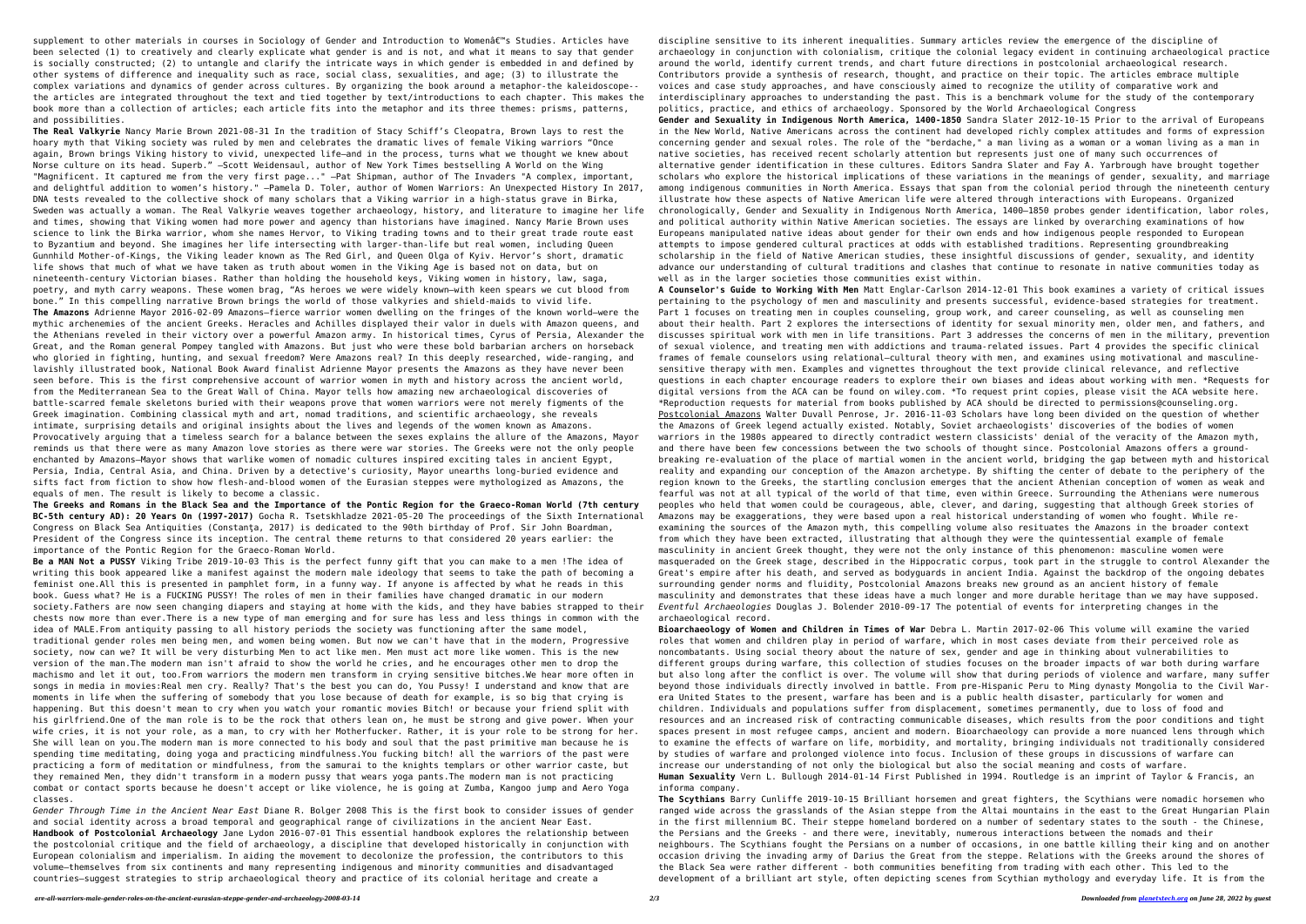supplement to other materials in courses in Sociology of Gender and Introduction to Womenâ€<sup>™</sup>s Studies. Articles have been selected (1) to creatively and clearly explicate what gender is and is not, and what it means to say that gender is socially constructed; (2) to untangle and clarify the intricate ways in which gender is embedded in and defined by other systems of difference and inequality such as race, social class, sexualities, and age; (3) to illustrate the complex variations and dynamics of gender across cultures. By organizing the book around a metaphor-the kaleidoscope- the articles are integrated throughout the text and tied together by text/introductions to each chapter. This makes the book more than a collection of articles; each article fits into the metaphor and its three themes: prisms, patterns, and possibilities.

**The Real Valkyrie** Nancy Marie Brown 2021-08-31 In the tradition of Stacy Schiff's Cleopatra, Brown lays to rest the hoary myth that Viking society was ruled by men and celebrates the dramatic lives of female Viking warriors "Once again, Brown brings Viking history to vivid, unexpected life—and in the process, turns what we thought we knew about Norse culture on its head. Superb." —Scott Weidensaul, author of New York Times bestselling A World on the Wing "Magnificent. It captured me from the very first page..." —Pat Shipman, author of The Invaders "A complex, important, and delightful addition to women's history." —Pamela D. Toler, author of Women Warriors: An Unexpected History In 2017, DNA tests revealed to the collective shock of many scholars that a Viking warrior in a high-status grave in Birka, Sweden was actually a woman. The Real Valkyrie weaves together archaeology, history, and literature to imagine her life and times, showing that Viking women had more power and agency than historians have imagined. Nancy Marie Brown uses science to link the Birka warrior, whom she names Hervor, to Viking trading towns and to their great trade route east to Byzantium and beyond. She imagines her life intersecting with larger-than-life but real women, including Queen Gunnhild Mother-of-Kings, the Viking leader known as The Red Girl, and Queen Olga of Kyiv. Hervor's short, dramatic life shows that much of what we have taken as truth about women in the Viking Age is based not on data, but on nineteenth-century Victorian biases. Rather than holding the household keys, Viking women in history, law, saga, poetry, and myth carry weapons. These women brag, "As heroes we were widely known—with keen spears we cut blood from bone." In this compelling narrative Brown brings the world of those valkyries and shield-maids to vivid life. **The Amazons** Adrienne Mayor 2016-02-09 Amazons—fierce warrior women dwelling on the fringes of the known world—were the mythic archenemies of the ancient Greeks. Heracles and Achilles displayed their valor in duels with Amazon queens, and the Athenians reveled in their victory over a powerful Amazon army. In historical times, Cyrus of Persia, Alexander the Great, and the Roman general Pompey tangled with Amazons. But just who were these bold barbarian archers on horseback who gloried in fighting, hunting, and sexual freedom? Were Amazons real? In this deeply researched, wide-ranging, and lavishly illustrated book, National Book Award finalist Adrienne Mayor presents the Amazons as they have never been seen before. This is the first comprehensive account of warrior women in myth and history across the ancient world, from the Mediterranean Sea to the Great Wall of China. Mayor tells how amazing new archaeological discoveries of battle-scarred female skeletons buried with their weapons prove that women warriors were not merely figments of the Greek imagination. Combining classical myth and art, nomad traditions, and scientific archaeology, she reveals intimate, surprising details and original insights about the lives and legends of the women known as Amazons. Provocatively arguing that a timeless search for a balance between the sexes explains the allure of the Amazons, Mayor reminds us that there were as many Amazon love stories as there were war stories. The Greeks were not the only people enchanted by Amazons—Mayor shows that warlike women of nomadic cultures inspired exciting tales in ancient Egypt, Persia, India, Central Asia, and China. Driven by a detective's curiosity, Mayor unearths long-buried evidence and sifts fact from fiction to show how flesh-and-blood women of the Eurasian steppes were mythologized as Amazons, the equals of men. The result is likely to become a classic.

**The Greeks and Romans in the Black Sea and the Importance of the Pontic Region for the Graeco-Roman World (7th century BC-5th century AD): 20 Years On (1997-2017)** Gocha R. Tsetskhladze 2021-05-20 The proceedings of the Sixth International Congress on Black Sea Antiquities (Constanta, 2017) is dedicated to the 90th birthday of Prof. Sir John Boardman, President of the Congress since its inception. The central theme returns to that considered 20 years earlier: the importance of the Pontic Region for the Graeco-Roman World.

**Be a MAN Not a PUSSY** Viking Tribe 2019-10-03 This is the perfect funny gift that you can make to a men !The idea of writing this book appeared like a manifest against the modern male ideology that seems to take the path of becoming a feminist one.All this is presented in pamphlet form, in a funny way. If anyone is affected by what he reads in this book. Guess what? He is a FUCKING PUSSY! The roles of men in their families have changed dramatic in our modern society.Fathers are now seen changing diapers and staying at home with the kids, and they have babies strapped to their chests now more than ever.There is a new type of man emerging and for sure has less and less things in common with the idea of MALE.From antiquity passing to all history periods the society was functioning after the same model, traditional gender roles men being men, and women being women. But now we can't have that in the modern, Progressive society, now can we? It will be very disturbing Men to act like men. Men must act more like women. This is the new version of the man.The modern man isn't afraid to show the world he cries, and he encourages other men to drop the machismo and let it out, too.From warriors the modern men transform in crying sensitive bitches.We hear more often in songs in media in movies:Real men cry. Really? That's the best you can do, You Pussy! I understand and know that are moments in life when the suffering of somebody that you lose because of death for example, is so big that crying is happening. But this doesn't mean to cry when you watch your romantic movies Bitch! or because your friend split with his girlfriend.One of the man role is to be the rock that others lean on, he must be strong and give power. When your wife cries, it is not your role, as a man, to cry with her Motherfucker. Rather, it is your role to be strong for her. She will lean on you.The modern man is more connected to his body and soul that the past primitive man because he is spending time meditating, doing yoga and practicing mindfulness.You fucking bitch! all the warriors of the past were practicing a form of meditation or mindfulness, from the samurai to the knights templars or other warrior caste, but they remained Men, they didn't transform in a modern pussy that wears yoga pants.The modern man is not practicing combat or contact sports because he doesn't accept or like violence, he is going at Zumba, Kangoo jump and Aero Yoga classes.

*Gender Through Time in the Ancient Near East* Diane R. Bolger 2008 This is the first book to consider issues of gender and social identity across a broad temporal and geographical range of civilizations in the ancient Near East. **Handbook of Postcolonial Archaeology** Jane Lydon 2016-07-01 This essential handbook explores the relationship between the postcolonial critique and the field of archaeology, a discipline that developed historically in conjunction with European colonialism and imperialism. In aiding the movement to decolonize the profession, the contributors to this volume—themselves from six continents and many representing indigenous and minority communities and disadvantaged countries—suggest strategies to strip archaeological theory and practice of its colonial heritage and create a

discipline sensitive to its inherent inequalities. Summary articles review the emergence of the discipline of archaeology in conjunction with colonialism, critique the colonial legacy evident in continuing archaeological practice around the world, identify current trends, and chart future directions in postcolonial archaeological research. Contributors provide a synthesis of research, thought, and practice on their topic. The articles embrace multiple voices and case study approaches, and have consciously aimed to recognize the utility of comparative work and interdisciplinary approaches to understanding the past. This is a benchmark volume for the study of the contemporary politics, practice, and ethics of archaeology. Sponsored by the World Archaeological Congress

**Gender and Sexuality in Indigenous North America, 1400-1850** Sandra Slater 2012-10-15 Prior to the arrival of Europeans in the New World, Native Americans across the continent had developed richly complex attitudes and forms of expression concerning gender and sexual roles. The role of the "berdache," a man living as a woman or a woman living as a man in native societies, has received recent scholarly attention but represents just one of many such occurrences of alternative gender identification in these cultures. Editors Sandra Slater and Fay A. Yarbrough have brought together scholars who explore the historical implications of these variations in the meanings of gender, sexuality, and marriage among indigenous communities in North America. Essays that span from the colonial period through the nineteenth century illustrate how these aspects of Native American life were altered through interactions with Europeans. Organized chronologically, Gender and Sexuality in Indigenous North America, 1400–1850 probes gender identification, labor roles, and political authority within Native American societies. The essays are linked by overarching examinations of how Europeans manipulated native ideas about gender for their own ends and how indigenous people responded to European attempts to impose gendered cultural practices at odds with established traditions. Representing groundbreaking scholarship in the field of Native American studies, these insightful discussions of gender, sexuality, and identity advance our understanding of cultural traditions and clashes that continue to resonate in native communities today as well as in the larger societies those communities exist within.

**A Counselor's Guide to Working With Men** Matt Englar-Carlson 2014-12-01 This book examines a variety of critical issues pertaining to the psychology of men and masculinity and presents successful, evidence-based strategies for treatment. Part 1 focuses on treating men in couples counseling, group work, and career counseling, as well as counseling men about their health. Part 2 explores the intersections of identity for sexual minority men, older men, and fathers, and discusses spiritual work with men in life transitions. Part 3 addresses the concerns of men in the military, prevention of sexual violence, and treating men with addictions and trauma-related issues. Part 4 provides the specific clinical frames of female counselors using relational–cultural theory with men, and examines using motivational and masculinesensitive therapy with men. Examples and vignettes throughout the text provide clinical relevance, and reflective questions in each chapter encourage readers to explore their own biases and ideas about working with men. \*Requests for digital versions from the ACA can be found on wiley.com. \*To request print copies, please visit the ACA website here. \*Reproduction requests for material from books published by ACA should be directed to permissions@counseling.org. Postcolonial Amazons Walter Duvall Penrose, Jr. 2016-11-03 Scholars have long been divided on the question of whether the Amazons of Greek legend actually existed. Notably, Soviet archaeologists' discoveries of the bodies of women warriors in the 1980s appeared to directly contradict western classicists' denial of the veracity of the Amazon myth, and there have been few concessions between the two schools of thought since. Postcolonial Amazons offers a groundbreaking re-evaluation of the place of martial women in the ancient world, bridging the gap between myth and historical reality and expanding our conception of the Amazon archetype. By shifting the center of debate to the periphery of the region known to the Greeks, the startling conclusion emerges that the ancient Athenian conception of women as weak and fearful was not at all typical of the world of that time, even within Greece. Surrounding the Athenians were numerous peoples who held that women could be courageous, able, clever, and daring, suggesting that although Greek stories of Amazons may be exaggerations, they were based upon a real historical understanding of women who fought. While reexamining the sources of the Amazon myth, this compelling volume also resituates the Amazons in the broader context from which they have been extracted, illustrating that although they were the quintessential example of female masculinity in ancient Greek thought, they were not the only instance of this phenomenon: masculine women were masqueraded on the Greek stage, described in the Hippocratic corpus, took part in the struggle to control Alexander the Great's empire after his death, and served as bodyguards in ancient India. Against the backdrop of the ongoing debates surrounding gender norms and fluidity, Postcolonial Amazons breaks new ground as an ancient history of female masculinity and demonstrates that these ideas have a much longer and more durable heritage than we may have supposed. *Eventful Archaeologies* Douglas J. Bolender 2010-09-17 The potential of events for interpreting changes in the archaeological record.

**Bioarchaeology of Women and Children in Times of War** Debra L. Martin 2017-02-06 This volume will examine the varied roles that women and children play in period of warfare, which in most cases deviate from their perceived role as noncombatants. Using social theory about the nature of sex, gender and age in thinking about vulnerabilities to different groups during warfare, this collection of studies focuses on the broader impacts of war both during warfare but also long after the conflict is over. The volume will show that during periods of violence and warfare, many suffer beyond those individuals directly involved in battle. From pre-Hispanic Peru to Ming dynasty Mongolia to the Civil Warera United States to the present, warfare has been and is a public health disaster, particularly for women and children. Individuals and populations suffer from displacement, sometimes permanently, due to loss of food and resources and an increased risk of contracting communicable diseases, which results from the poor conditions and tight spaces present in most refugee camps, ancient and modern. Bioarchaeology can provide a more nuanced lens through which to examine the effects of warfare on life, morbidity, and mortality, bringing individuals not traditionally considered by studies of warfare and prolonged violence into focus. Inclusion of these groups in discussions of warfare can increase our understanding of not only the biological but also the social meaning and costs of warfare. **Human Sexuality** Vern L. Bullough 2014-01-14 First Published in 1994. Routledge is an imprint of Taylor & Francis, an

**The Scythians** Barry Cunliffe 2019-10-15 Brilliant horsemen and great fighters, the Scythians were nomadic horsemen who ranged wide across the grasslands of the Asian steppe from the Altai mountains in the east to the Great Hungarian Plain in the first millennium BC. Their steppe homeland bordered on a number of sedentary states to the south - the Chinese, the Persians and the Greeks - and there were, inevitably, numerous interactions between the nomads and their neighbours. The Scythians fought the Persians on a number of occasions, in one battle killing their king and on another occasion driving the invading army of Darius the Great from the steppe. Relations with the Greeks around the shores of the Black Sea were rather different - both communities benefiting from trading with each other. This led to the development of a brilliant art style, often depicting scenes from Scythian mythology and everyday life. It is from the